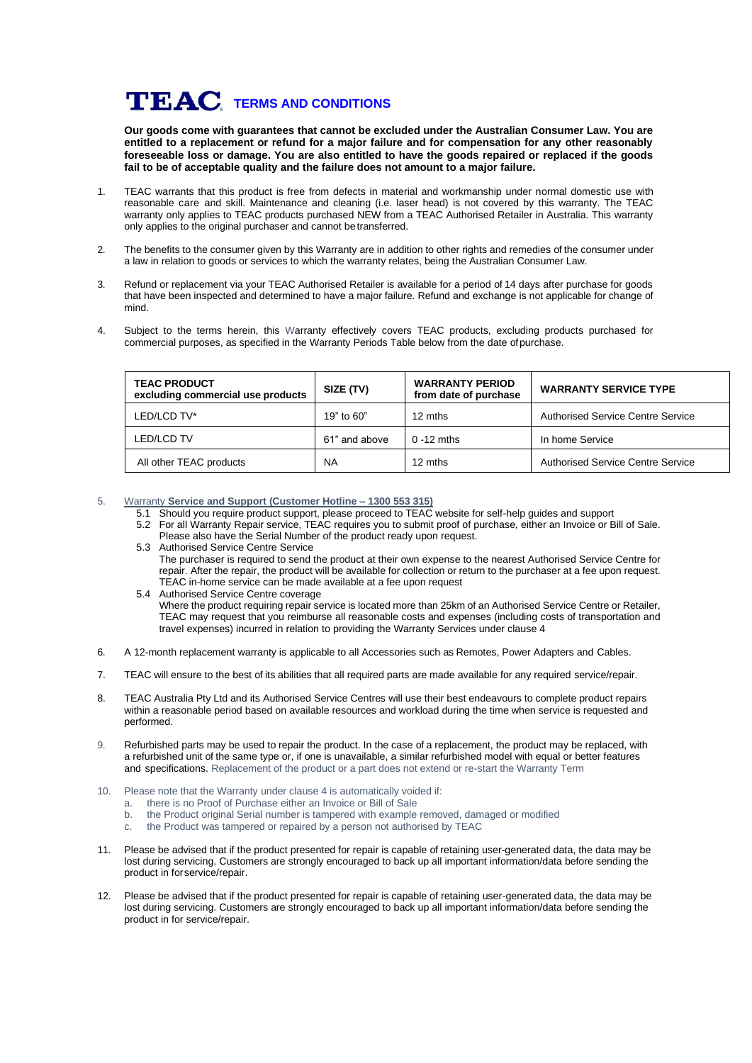## **<b>TERMS AND CONDITIONS**

**Our goods come with guarantees that cannot be excluded under the Australian Consumer Law. You are entitled to a replacement or refund for a major failure and for compensation for any other reasonably foreseeable loss or damage. You are also entitled to have the goods repaired or replaced if the goods fail to be of acceptable quality and the failure does not amount to a major failure.**

- 1. TEAC warrants that this product is free from defects in material and workmanship under normal domestic use with reasonable care and skill. Maintenance and cleaning (i.e. laser head) is not covered by this warranty. The TEAC warranty only applies to TEAC products purchased NEW from a TEAC Authorised Retailer in Australia. This warranty only applies to the original purchaser and cannot betransferred.
- 2. The benefits to the consumer given by this Warranty are in addition to other rights and remedies of the consumer under a law in relation to goods or services to which the warranty relates, being the Australian Consumer Law.
- 3. Refund or replacement via your TEAC Authorised Retailer is available for a period of 14 days after purchase for goods that have been inspected and determined to have a major failure. Refund and exchange is not applicable for change of mind.
- 4. Subject to the terms herein, this Warranty effectively covers TEAC products, excluding products purchased for commercial purposes, as specified in the Warranty Periods Table below from the date ofpurchase.

| <b>TEAC PRODUCT</b><br>excluding commercial use products | SIZE (TV)        | <b>WARRANTY PERIOD</b><br>from date of purchase | <b>WARRANTY SERVICE TYPE</b>      |
|----------------------------------------------------------|------------------|-------------------------------------------------|-----------------------------------|
| LED/LCD TV*                                              | 19 $"$ to 60 $"$ | 12 mths                                         | Authorised Service Centre Service |
| LED/LCD TV                                               | 61" and above    | $0 - 12$ mths                                   | In home Service                   |
| All other TEAC products                                  | <b>NA</b>        | 12 mths                                         | Authorised Service Centre Service |

- 5. Warranty **Service and Support (Customer Hotline – 1300 553 315)**
	- 5.1 Should you require product support, please proceed to TEAC website for self-help guides and support
	- 5.2 For all Warranty Repair service, TEAC requires you to submit proof of purchase, either an Invoice or Bill of Sale.
		- Please also have the Serial Number of the product ready upon request.
	- 5.3 Authorised Service Centre Service The purchaser is required to send the product at their own expense to the nearest Authorised Service Centre for repair. After the repair, the product will be available for collection or return to the purchaser at a fee upon request. TEAC in-home service can be made available at a fee upon request
	- 5.4 Authorised Service Centre coverage Where the product requiring repair service is located more than 25km of an Authorised Service Centre or Retailer, TEAC may request that you reimburse all reasonable costs and expenses (including costs of transportation and travel expenses) incurred in relation to providing the Warranty Services under clause 4
- 6. A 12-month replacement warranty is applicable to all Accessories such as Remotes, Power Adapters and Cables.
- 7. TEAC will ensure to the best of its abilities that all required parts are made available for any required service/repair.
- 8. TEAC Australia Pty Ltd and its Authorised Service Centres will use their best endeavours to complete product repairs within a reasonable period based on available resources and workload during the time when service is requested and performed.
- 9. Refurbished parts may be used to repair the product. In the case of a replacement, the product may be replaced, with a refurbished unit of the same type or, if one is unavailable, a similar refurbished model with equal or better features and specifications. Replacement of the product or a part does not extend or re-start the Warranty Term
- 10. Please note that the Warranty under clause 4 is automatically voided if:
	- a. there is no Proof of Purchase either an Invoice or Bill of Sale
	- b. the Product original Serial number is tampered with example removed, damaged or modified
	- c. the Product was tampered or repaired by a person not authorised by TEAC
- 11. Please be advised that if the product presented for repair is capable of retaining user-generated data, the data may be lost during servicing. Customers are strongly encouraged to back up all important information/data before sending the product in forservice/repair.
- 12. Please be advised that if the product presented for repair is capable of retaining user-generated data, the data may be lost during servicing. Customers are strongly encouraged to back up all important information/data before sending the product in for service/repair.